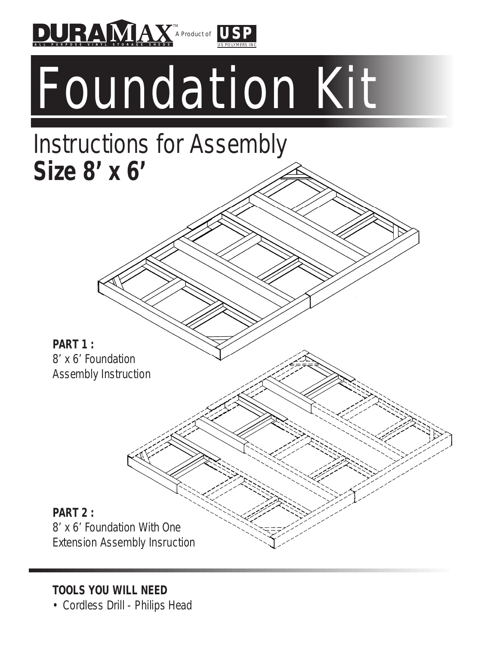

Foundation Kit

## Instructions for Assembly **Size 8' x 6'**

**PART 1 :**  8' x 6' Foundation Assembly Instruction

**PART 2 :**  8' x 6' Foundation With One Extension Assembly Insruction

**TOOLS YOU WILL NEED**

• Cordless Drill - Philips Head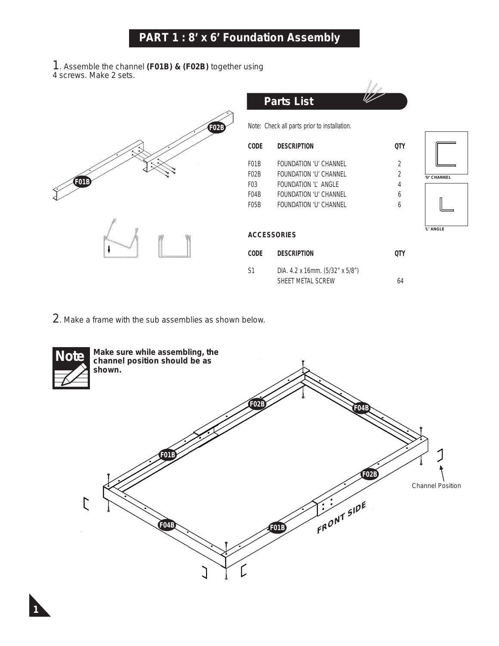1. Assemble the channel **(F01B) & (F02B)** together using 4 screws. Make 2 sets.



2. Make a frame with the sub assemblies as shown below.

*1*

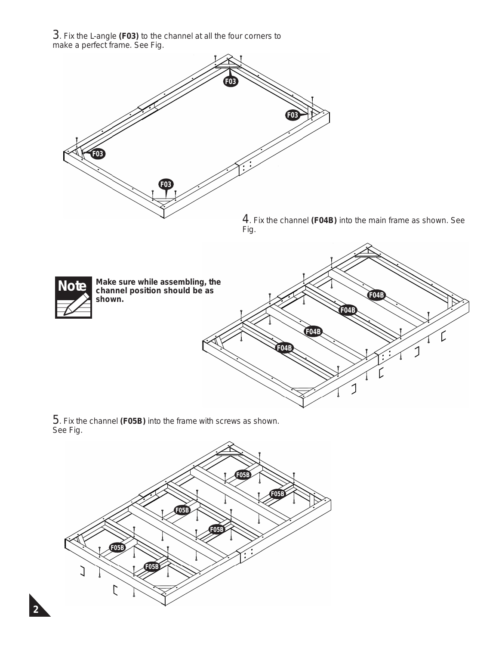3. Fix the L-angle **(F03)** to the channel at all the four corners to make a perfect frame. See Fig.



5. Fix the channel **(F05B)** into the frame with screws as shown. See Fig.

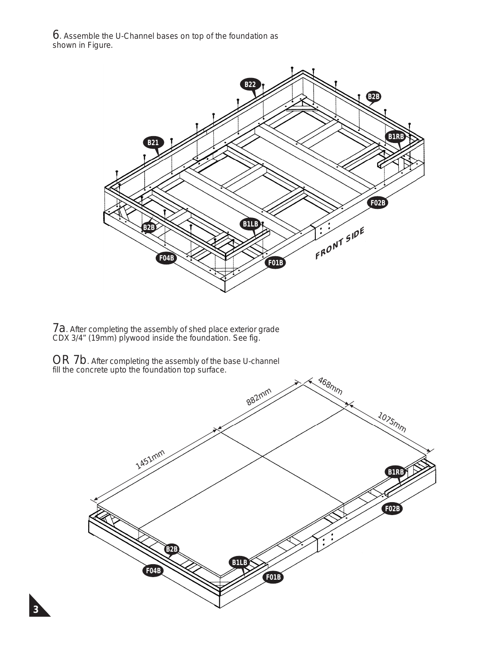$6.$  Assemble the U-Channel bases on top of the foundation as shown in Figure.



7a. After completing the assembly of shed place exterior grade CDX 3/4" (19mm) plywood inside the foundation. See fig.

 $OR$   $7b$ . After completing the assembly of the base U-channel fill the concrete upto the foundation top surface.

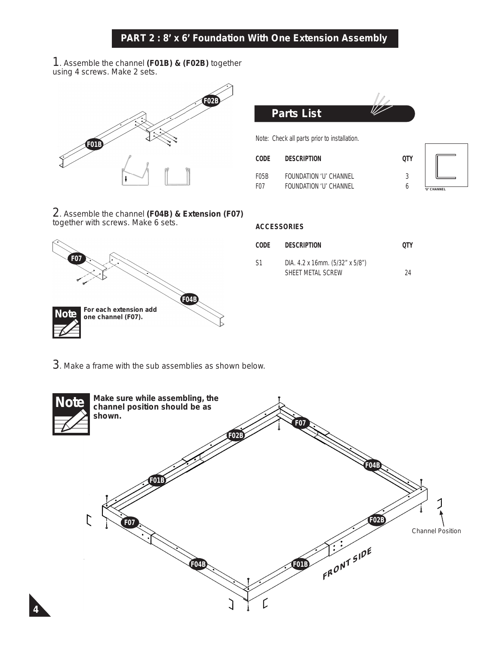1. Assemble the channel **(F01B) & (F02B)** together using 4 screws. Make 2 sets.



2. Assemble the channel **(F04B) & Extension (F07)**  together with screws. Make 6 sets.



| Parts List                                   |      |  |
|----------------------------------------------|------|--|
| Note: Check all parts prior to installation. |      |  |
| CODE<br><b>DESCRIPTION</b>                   | LITY |  |

 $\mathbb{I}$ 

| --------          | ------------                  | $\sim$ $\sim$ |
|-------------------|-------------------------------|---------------|
| F <sub>05</sub> B | <b>FOUNDATION 'U' CHANNEL</b> |               |
| F <sub>07</sub>   | <b>FOUNDATION 'U' CHANNEL</b> | TP C          |



## **ACCESSORIES**

| CODE | <b>DESCRIPTION</b>                                    | 0TY |
|------|-------------------------------------------------------|-----|
| S1   | DIA. $4.2 \times 16$ mm. $(5/32 \times 5/8 \times 5)$ |     |

SHEET METAL SCREW 24

3. Make a frame with the sub assemblies as shown below.

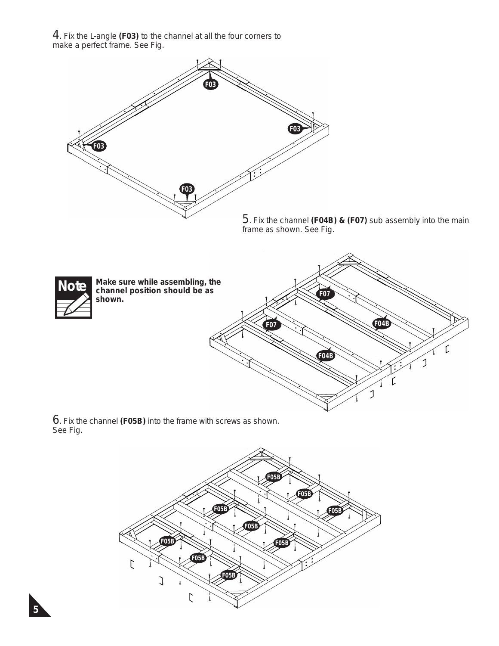4. Fix the L-angle **(F03)** to the channel at all the four corners to make a perfect frame. See Fig.



6. Fix the channel **(F05B)** into the frame with screws as shown. See Fig.

*5*